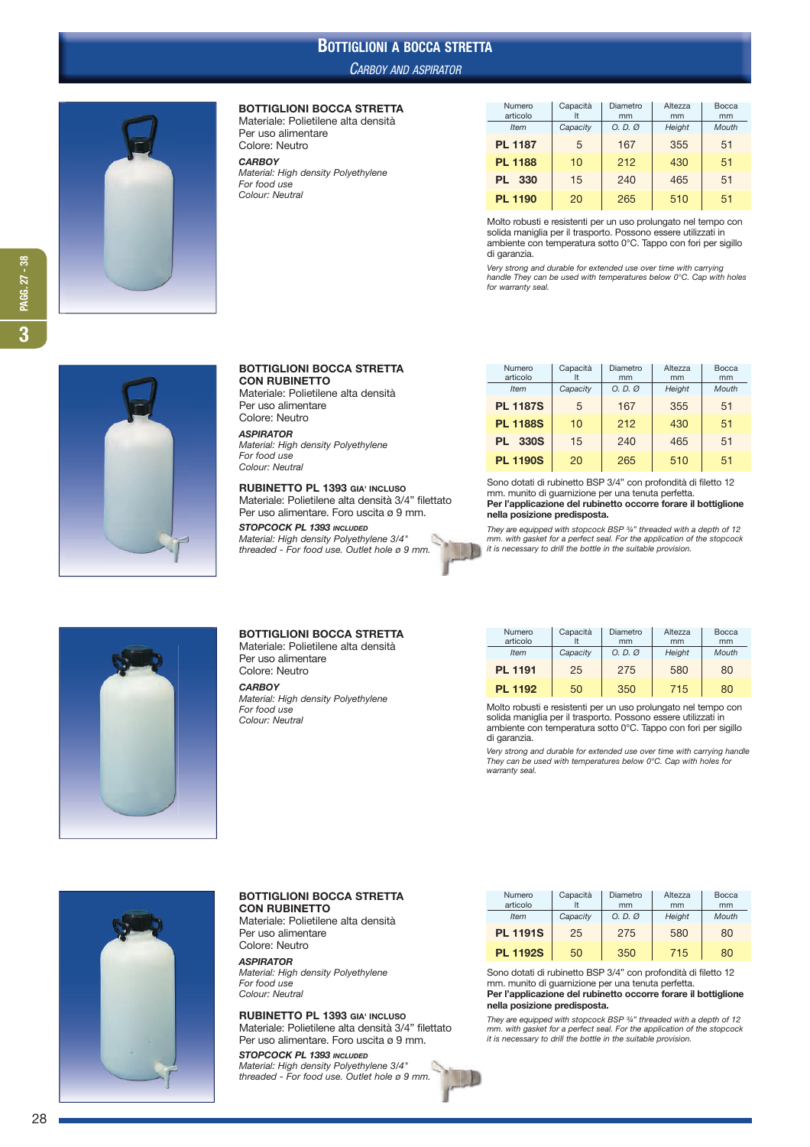# BOTTIGLIONI A BOCCA STRETTA

#### CARBOY AND ASPIRATOR



#### BOTTIGLIONI BOCCA STRETTA

Materiale: Polietilene alta densità Per uso alimentare Colore: Neutro *CARBOY* Material: High density Polyethylene

For food use Colour: Neutral

| Numero<br>articolo | Capacità | Diametro<br>mm | Altezza<br>mm | Bocca<br>mm |  |
|--------------------|----------|----------------|---------------|-------------|--|
| <b>Item</b>        | Capacity | O. D. Q        | Height        | Mouth       |  |
| <b>PL 1187</b>     | 5        | 167            |               | 51          |  |
| <b>PL 1188</b>     | 10       | 212            | 430           | 51          |  |
| PL 330             | 15       | 240            | 465           | 51          |  |
| <b>PL 1190</b>     | 20       | 265            | 510           | 51          |  |

Molto robusti e resistenti per un uso prolungato nel tempo con solida maniglia per il trasporto. Possono essere utilizzati in ambiente con temperatura sotto 0°C. Tappo con fori per sigillo di garanzia.

Very strong and durable for extended use over time with carrying handle They can be used with temperatures below 0°C. Cap with holes for warranty seal.



#### BOTTIGLIONI BOCCA STRETTA CON RUBINETTO

Materiale: Polietilene alta densità Per uso alimentare Colore: Neutro

*ASPIRATOR*  Material: High density Polyethylene For food use Colour: Neutral

RUBINETTO PL 1393 GIA' INCLUSO Materiale: Polietilene alta densità 3/4" filettato Per uso alimentare. Foro uscita ø 9 mm.

*STOPCOCK PL 1393 INCLUDED* Material: High density Polyethylene 3/4" threaded - For food use. Outlet hole ø 9 mm.

| articolo                                                        | It       | mm                | mm         | mm       |  |  |  |
|-----------------------------------------------------------------|----------|-------------------|------------|----------|--|--|--|
| <b>Item</b>                                                     | Capacity | $O. D. \emptyset$ | Height     | Mouth    |  |  |  |
| <b>PL 1187S</b>                                                 | 5        | 167               | 355        | 51       |  |  |  |
| <b>PL 1188S</b>                                                 | 10       | 212               | 430<br>465 | 51<br>51 |  |  |  |
| <b>PL 330S</b>                                                  | 15       | 240               |            |          |  |  |  |
| <b>PL 1190S</b>                                                 | 20       | 510<br>265        |            | 51       |  |  |  |
| Cana detati di vulgicatta DCD 0/4" san nusfandità di filatta 10 |          |                   |            |          |  |  |  |

Numero Capacità Diametro Altezza Bocca

Sono dotati di rubinetto BSP 3/4" con profondità di filetto 12 mm. munito di guarnizione per una tenuta perfetta. Per l'applicazione del rubinetto occorre forare il bottiglione nella posizione predisposta.

They are equipped with stopcock BSP ¾" threaded with a depth of 12 mm. with gasket for a perfect seal. For the application of the stopcock it is necessary to drill the bottle in the suitable provision.



## BOTTIGLIONI BOCCA STRETTA

Materiale: Polietilene alta densità Per uso alimentare Colore: Neutro

*CARBOY* Material: High density Polyethylene For food use Colour: Neutral

| Numero<br>articolo | Capacità | Diametro<br>mm    |        | Bocca<br>mm |  |
|--------------------|----------|-------------------|--------|-------------|--|
| <b>Item</b>        | Capacity | $O. D. \emptyset$ | Height | Mouth       |  |
| <b>PL 1191</b>     | 25       | 275               | 580    | 80          |  |
| <b>PL 1192</b>     | 50       | 350               | 715    | 80          |  |

Molto robusti e resistenti per un uso prolungato nel tempo con solida maniglia per il trasporto. Possono essere utilizzati in ambiente con temperatura sotto 0°C. Tappo con fori per sigillo di garanzia.

Very strong and durable for extended use over time with carrying handle They can be used with temperatures below 0°C. Cap with holes for warranty seal.



#### BOTTIGLIONI BOCCA STRETTA CON RUBINETTO

Materiale: Polietilene alta densità Per uso alimentare Colore: Neutro

*ASPIRATOR*  Material: High density Polyethylene For food use Colour: Neutral

RUBINETTO PL 1393 GIA' INCLUSO Materiale: Polietilene alta densità 3/4" filettato Per uso alimentare. Foro uscita ø 9 mm.

*STOPCOCK PL 1393 INCLUDED* Material: High density Polyethylene 3/4" threaded - For food use. Outlet hole ø 9 mm.

| Numero          | Capacità                            | Diametro | Altezza | Bocca |
|-----------------|-------------------------------------|----------|---------|-------|
| articolo        | mm<br>Capacity<br>$O. D. \emptyset$ |          | mm      | mm    |
| <b>Item</b>     |                                     |          | Height  | Mouth |
| <b>PL 1191S</b> | 25                                  |          | 580     | 80    |
| <b>PL 1192S</b> | 50                                  | 350      | 715     | 80    |

Sono dotati di rubinetto BSP 3/4" con profondità di filetto 12 mm. munito di guarnizione per una tenuta perfetta. Per l'applicazione del rubinetto occorre forare il bottiglione

## nella posizione predisposta.

They are equipped with stopcock BSP ¾" threaded with a depth of 12 mm. with gasket for a perfect seal. For the application of the stopcock it is necessary to drill the bottle in the suitable provision.

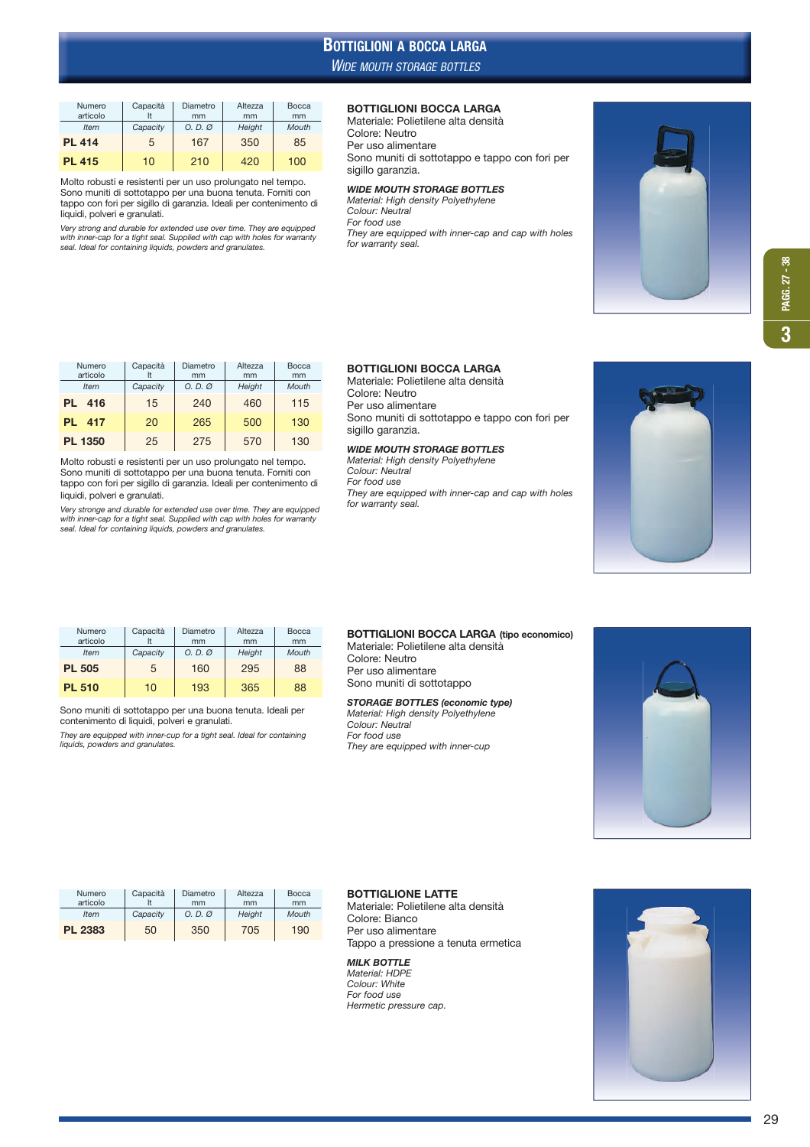# WIDE MOUTH STORAGE BOTTLES BOTTIGLIONI A BOCCA LARGA

| Numero<br>articolo | Capacità  | Diametro<br>mm    | Altezza<br>mm | Bocca<br>mm |  |
|--------------------|-----------|-------------------|---------------|-------------|--|
| <b>Item</b>        | Capacity  | $O. D. \emptyset$ |               | Mouth       |  |
| <b>PL 414</b>      | 5         | 167               |               | 85          |  |
| <b>PL 415</b>      | 210<br>10 |                   | 420           | 100         |  |

Molto robusti e resistenti per un uso prolungato nel tempo. Sono muniti di sottotappo per una buona tenuta. Forniti con tappo con fori per sigillo di garanzia. Ideali per contenimento di liquidi, polveri e granulati.

Very strong and durable for extended use over time. They are equipped with inner-cap for a tight seal. Supplied with cap with holes for warranty seal. Ideal for containing liquids, powders and granulates.

### BOTTIGLIONI BOCCA LARGA

Materiale: Polietilene alta densità Colore: Neutro Per uso alimentare Sono muniti di sottotappo e tappo con fori per

sigillo garanzia.

# *WIDE MOUTH STORAGE BOTTLES* Material: High density Polyethylene Colour: Neutral

For food use They are equipped with inner-cap and cap with holes for warranty seal.



| Numero           | Capacità | Diametro<br>Altezza |        | Bocca |  |
|------------------|----------|---------------------|--------|-------|--|
| articolo         |          | mm<br>mm            |        | mm    |  |
| <b>Item</b>      | Capacity | $O. D. \emptyset$   | Height | Mouth |  |
| 416<br>PL        | 15       | 240                 | 460    | 115   |  |
| 417<br><b>PL</b> | 20       | 265                 | 500    | 130   |  |
| <b>PL 1350</b>   | 25       | 275                 | 570    | 130   |  |

Molto robusti e resistenti per un uso prolungato nel tempo. Sono muniti di sottotappo per una buona tenuta. Forniti con tappo con fori per sigillo di garanzia. Ideali per contenimento di liquidi, polveri e granulati.

Very stronge and durable for extended use over time. They are equipped with inner-cap for a tight seal. Supplied with cap with holes for warranty seal. Ideal for containing liquids, powders and granulates.

## BOTTIGLIONI BOCCA LARGA

Materiale: Polietilene alta densità Colore: Neutro Per uso alimentare Sono muniti di sottotappo e tappo con fori per sigillo garanzia.

#### *WIDE MOUTH STORAGE BOTTLES*

Material: High density Polyethylene Colour: Neutral For food use They are equipped with inner-cap and cap with holes for warranty seal.



| Numero        | Capacità                      | Diametro | Altezza | Bocca |  |
|---------------|-------------------------------|----------|---------|-------|--|
| articolo      |                               | mm       | mm      | mm    |  |
| <b>Item</b>   | Capacity<br>$O. D. \emptyset$ |          | Height  | Mouth |  |
| <b>PL 505</b> | 5                             | 160      | 295     | 88    |  |
| <b>PL 510</b> | 10                            | 193      | 365     | 88    |  |

Sono muniti di sottotappo per una buona tenuta. Ideali per contenimento di liquidi, polveri e granulati.

They are equipped with inner-cup for a tight seal. Ideal for containing liquids, powders and granulates.

#### BOTTIGLIONI BOCCA LARGA (tipo economico) Materiale: Polietilene alta densità

Colore: Neutro Per uso alimentare Sono muniti di sottotappo

*STORAGE BOTTLES (economic type)* Material: High density Polyethylene Colour: Neutral For food use They are equipped with inner-cup



| Capacità<br>Numero |          | Diametro          | Altezza | Bocca |
|--------------------|----------|-------------------|---------|-------|
| articolo           |          | mm                | mm      | mm    |
| <b>Item</b>        | Capacity | $O. D. \emptyset$ | Height  | Mouth |
| PL 2383            | 50       | 350               | 705     | 190   |

#### BOTTIGLIONE LATTE

Materiale: Polietilene alta densità Colore: Bianco Per uso alimentare Tappo a pressione a tenuta ermetica

#### *MILK BOTTLE* Material: HDPE

Colour: White For food use Hermetic pressure cap.

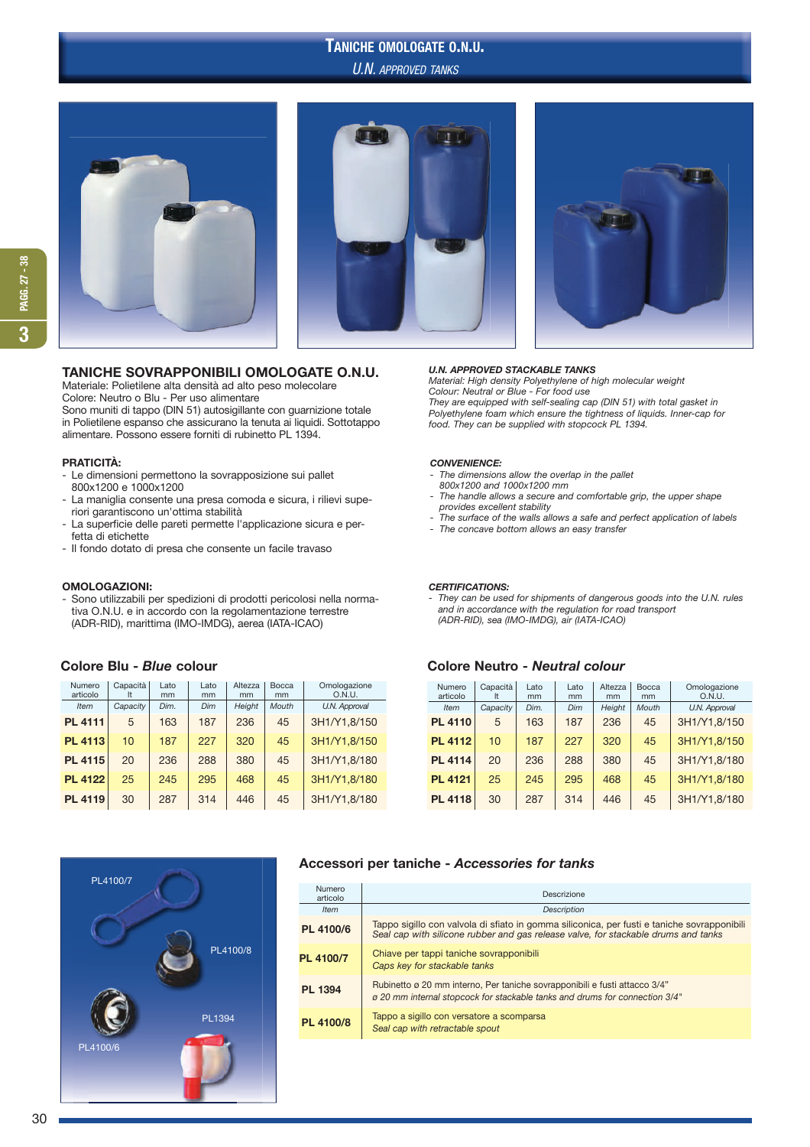# U.N. APPROVED TANKS TANICHE OMOLOGATE O.N.U.





## TANICHE SOVRAPPONIBILI OMOLOGATE O.N.U.

Materiale: Polietilene alta densità ad alto peso molecolare Colore: Neutro o Blu - Per uso alimentare

Sono muniti di tappo (DIN 51) autosigillante con guarnizione totale in Polietilene espanso che assicurano la tenuta ai liquidi. Sottotappo alimentare. Possono essere forniti di rubinetto PL 1394.

#### PRATICITÀ:

- Le dimensioni permettono la sovrapposizione sui pallet 800x1200 e 1000x1200
- La maniglia consente una presa comoda e sicura, i rilievi supe riori garantiscono un'ottima stabilità
- La superficie delle pareti permette l'applicazione sicura e per fetta di etichette
- Il fondo dotato di presa che consente un facile travaso

#### OMOLOGAZIONI:

Sono utilizzabili per spedizioni di prodotti pericolosi nella norma tiva O.N.U. e in accordo con la regolamentazione terrestre (ADR-RID), marittima (IMO-IMDG), aerea (IATA-ICAO)

| Numero<br>articolo | Capacità<br>It | Lato<br>mm | Lato<br>mm | Altezza<br>mm | Bocca<br>mm | Omologazione<br>O.N.U. |
|--------------------|----------------|------------|------------|---------------|-------------|------------------------|
|                    |                |            |            |               |             |                        |
| Item               | Capacity       | Dim.       | Dim        | Height        | Mouth       | U.N. Approval          |
| <b>PL 4111</b>     | 5              | 163        | 187        | 236           | 45          | 3H1/Y1.8/150           |
| <b>PL 4113</b>     | 10             | 187        | 227        | 320           | 45          | 3H1/Y1.8/150           |
| <b>PL 4115</b>     | 20             | 236        | 288        | 380           | 45          | 3H1/Y1.8/180           |
| <b>PL 4122</b>     | 25             | 245        | 295        | 468           | 45          | 3H1/Y1.8/180           |
| <b>PL 4119</b>     | 30             | 287        | 314        | 446           | 45          | 3H1/Y1.8/180           |



## *U.N. APPROVED STACKABLE TANKS*

Material: High density Polyethylene of high molecular weight Colour: Neutral or Blue - For food use They are equipped with self-sealing cap (DIN 51) with total gasket in Polyethylene foam which ensure the tightness of liquids. Inner-cap for food. They can be supplied with stopcock PL 1394.

#### *CONVENIENCE:*

- The dimensions allow the overlap in the pallet 800x1200 and 1000x1200 mm
- The handle allows a secure and comfortable grip, the upper shape provides excellent stability
- The surface of the walls allows a safe and perfect application of labels The concave bottom allows an easy transfer

## *CERTIFICATIONS:*

- They can be used for shipments of dangerous goods into the U.N. rules and in accordance with the regulation for road transport (ADR-RID), sea (IMO-IMDG), air (IATA-ICAO)

## Colore Blu - *Blue* colour Colore Neutro - *Neutral colour*

| Numero<br>articolo | Capacità<br>It | Lato<br>mm | Lato<br>mm | Altezza<br>mm | Bocca<br>mm | Omologazione<br>O.N.U. |
|--------------------|----------------|------------|------------|---------------|-------------|------------------------|
| <b>Item</b>        | Capacity       | Dim.       | Dim        | Height        | Mouth       | U.N. Approval          |
| <b>PL 4110</b>     | 5              | 163        | 187        | 236           | 45          | 3H1/Y1,8/150           |
| <b>PL 4112</b>     | 10             | 187        | 227        | 320           | 45          | 3H1/Y1.8/150           |
| <b>PL 4114</b>     | 20             | 236        | 288        | 380           | 45          | 3H1/Y1.8/180           |
| <b>PL 4121</b>     | 25             | 245        | 295        | 468           | 45          | 3H1/Y1.8/180           |
| <b>PL 4118</b>     | 30             | 287        | 314        | 446           | 45          | 3H1/Y1,8/180           |

### Accessori per taniche - *Accessories for tanks*

| Numero<br>articolo | Descrizione                                                                                                                                                                       |
|--------------------|-----------------------------------------------------------------------------------------------------------------------------------------------------------------------------------|
| <b>Item</b>        | <b>Description</b>                                                                                                                                                                |
| PL 4100/6          | Tappo sigillo con valvola di sfiato in gomma siliconica, per fusti e taniche sovrapponibili<br>Seal cap with silicone rubber and gas release valve, for stackable drums and tanks |
| PL 4100/7          | Chiave per tappi taniche sovrapponibili<br>Caps key for stackable tanks                                                                                                           |
| <b>PL 1394</b>     | Rubinetto ø 20 mm interno, Per taniche sovrapponibili e fusti attacco 3/4"<br>ø 20 mm internal stopcock for stackable tanks and drums for connection 3/4"                         |
| PL 4100/8          | Tappo a sigillo con versatore a scomparsa<br>Seal cap with retractable spout                                                                                                      |